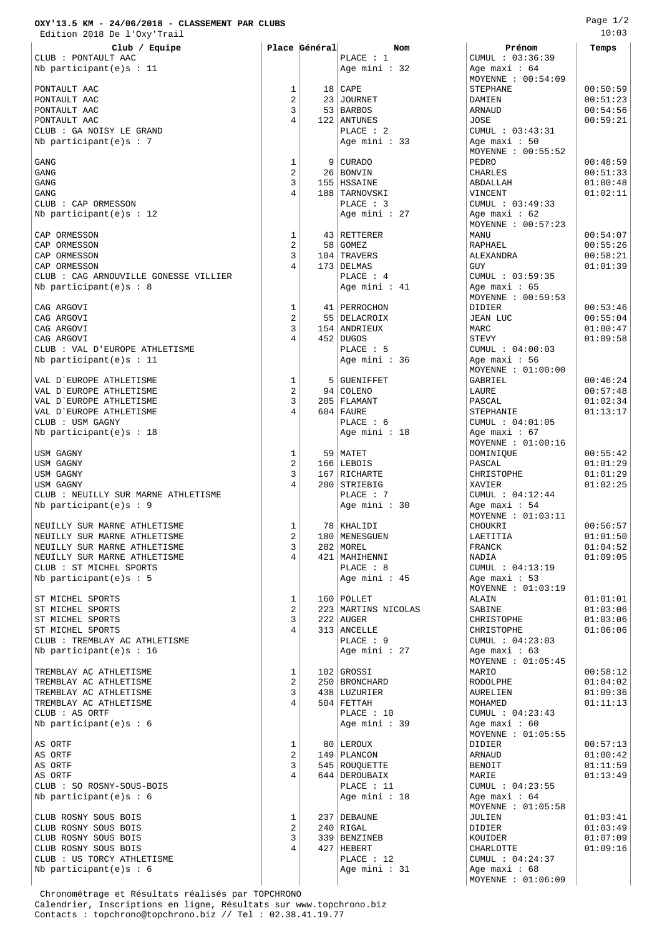## **OXY'13.5 KM - 24/06/2018 - CLASSEMENT PAR CLUBS**

 Edition 2018 De l'Oxy'Trail **Club / Equipe Place Général Nom Prénom Temps** CLUB : PONTAULT AAC PLACE : 1 CUMUL : 03:36:<br>Nb participant(e)s : 11 CUMUL : 03:36:<br>Nb participant(e)s : 11 CUMUL : 03:36: Nb participant(e)s : 11  $\overline{)}$  Age mini : 32 PONTAULT AAC 1 18 CAPE STEPHANE 00:50:59 PONTAULT AAC 2 23 JOURNET DAMIEN 00:51:23 PONTAULT AAC 3 53 BARBOS ARNAUD 00:54:56 PONTAULT AAC 4 122 ANTUNES JOSE 00:59:21 CLUB : GA NOISY LE GRAND (CUMUL : 03:43:31)<br>Nb participant (e)s : 7 (No equal of the plane of the set of the set of the set of the set of the set of the s Nb participant $(e)$ s : 7 GANG 1 9 CURADO PEDRO 00:48:59  $\begin{array}{|c|c|c|c|c|c|}\hline \text{GANG} & & & \text{00:51:33}\ \hline \end{array}$  $\begin{array}{|c|c|c|c|c|}\hline \text{GANG} & & \text{01:00:48}\ \hline \end{array}$ GANG 4 188 TARNOVSKI VINCENT 01:02:11 CLUB : CAP ORMESSON PLACE : 3 CUMUL : 03:49:33 Nb participant(e)s : 12 Age mini : 27 Age maxi : 62 CAP ORMESSON 1 43 RETTERER MANU 00:54:07 CAP ORMESSON 2 58 GOMEZ RAPHAEL 00:55:26 CAP ORMESSON 3 104 TRAVERS ALEXANDRA 00:58:21  $\begin{array}{|c|c|c|c|c|c|}\hline \text{CAP ORMESSON} & \text{1:01:39} \ \hline \end{array}$ CLUB : CAG ARNOUVILLE GONESSE VILLIER PLACE : 4 CUMUL : 03:59:35<br>Nb participant(e)s : 8 age mini : 41 Age maxi : 65  $Nb$  participant(e)s : 8 CAG ARGOVI 1 41 PERROCHON DIDIER 00:53:46 CAG ARGOVI 2 55 DELACROIX JEAN LUC 00:55:04 CAG ARGOVI 3 154 ANDRIEUX MARC 01:00:47 CAG ARGOVI 4 452 DUGOS STEVY 01:09:58 CLUB : VAL D'EUROPE ATHLETISME PLACE : 5 CUMUL : 04:00:03  $Nb$  participant(e)s : 11 VAL D`EUROPE ATHLETISME 1 5 GUENIFFET GABRIEL 00:46:24 VAL D`EUROPE ATHLETISME 2 94 COLENO LAURE 00:57:48 VAL D`EUROPE ATHLETISME 3 205 FLAMANT PASCAL 01:02:34 VAL D`EUROPE ATHLETISME  $\begin{vmatrix} 4 & 604 & 604 \\ 1 & \text{PLACE} & 6 & 6 \end{vmatrix}$  STEPHANIE  $\begin{vmatrix} 57EPHANIE & 604 & 604 & 604 \\ 1 & \text{PLACE} & 6 & 6 \end{vmatrix}$  STEPHANIE CLUB : USM GAGNY Nb participant(e)s : 18  $\overline{)}$  Age mini : 18  $\overline{)}$  Age maxi : 67 USM GAGNY 1 59 MATET DOMINIQUE 00:55:42 USM GAGNY  $2 \mid 166 \mid \text{LEBOIS}$  PASCAL  $\mid 01:01:29$ USM GAGNY 3 167 RICHARTE CHRISTOPHE 01:01:29 USM GAGNY 4 200 STRIEBIG XAVIER 01:02:25 CLUB : NEUILLY SUR MARNE ATHLETISME <br>Nb participant(e)s : 9 <br>Nb participant(e)s : 9 <br>PLACE : 7 cumul : 04:12:44 Nb participant(e)s : 9 Age mini : 30 Age maxi : 54 NEUILLY SUR MARNE ATHLETISME 1 78 KHALIDI CHOUKRI 00:56:57 NEUILLY SUR MARNE ATHLETISME  $\begin{vmatrix} 2 & 180 \\ 3 & 282 \end{vmatrix}$  MENESGUEN LAETITIA  $\begin{vmatrix} 1.2 & 1:01:50 \\ 0.1:01:52 \end{vmatrix}$  01:01:50 NEUILLY SUR MARNE ATHLETISME 3 282 MOREL FRANCK 01:04:52 NEUILLY SUR MARNE ATHLETISME 4 421 MAHIHENNI NADIA 01:09:05 CLUB : ST MICHEL SPORTS<br>
Nb participant(e)s : 5 CUMUL : 04:13 Nb participant(e)s : 5 ST MICHEL SPORTS  $\begin{array}{|c|c|c|c|c|c|}\n\hline\n\text{ST} & \text{MICOLER} & \text{ALAIN} & \text{OLI:01:01:01:01:02:06} \ \hline\n\text{ST} & \text{MICOLAB} & \text{SABINE} & \text{SABINE} & \text{O1:03:06} \ \hline\n\end{array}$ ST MICHEL SPORTS  $\begin{array}{|c|c|c|c|c|c|}\n\hline\n\text{ST} & \text{MICHE} & \text{SABINE} & \text{SABINE} \\
\text{ST} & \text{MICHE} & \text{SDEF} & \text{SABINE} & \text{SABINE} \\
\text{ST} & \text{MICHE} & \text{SDEF} & \text{SABINE} & \text{SABINE} \\
\end{array}$ ST MICHEL SPORTS 3 222 AUGER CHRISTOPHE 01:03:06 ST MICHEL SPORTS 4 313 ANCELLE CHRISTOPHE 01:06:06 CLUB : TREMBLAY AC ATHLETISME Nb participant(e)s : 16  $\qquad$  Age mini : 27  $\qquad$  Age maxi : 63 TREMBLAY AC ATHLETISME  $1 \quad 102 \text{ (grossi}$  MARIO 100:58:12 TREMBLAY AC ATHLETISME 2 250 BRONCHARD RODOLPHE 01:04:02 TREMBLAY AC ATHLETISME  $\begin{array}{|c|c|c|c|c|c|}\n\hline\n3&438&\text{LUZURIER}\n\end{array} \begin{array}{c|c|c|c|c|c|c|c|c} \hline\n3&438&\text{LUZURIER}\n\end{array} \begin{array}{c|c|c|c} \text{AURELIEN} & \text{AURELIEN} & 01:09:36&\text{AURELIFIN} & 01:11:13&\text{AURELIFIN} & 01:11:13&\text{AURELIFIN} & 01:11:13&\text{$ TREMBLAY AC ATHLETISME  $\begin{array}{|c|c|c|c|c|}\n\hline\n\text{CLIIB} & \text{A} & \text{504} & \text{FETTAH} \\
\text{CLIIB} & \text{A} & \text{BLACE} & \text{10}\n\end{array}$ Nb participant(e)s :  $6$ AS ORTF 1 80 LEROUX DIDIER 00:57:13 AS ORTF 2 149 PLANCON ARNAUD 01:00:42 AS ORTF 3 545 ROUQUETTE BENOIT 01:11:59 AS ORTF 4 644 DEROUBAIX MARIE 01:13:49 CLUB : SO ROSNY-SOUS-BOIS 
PLACE : 11 CUMUL : 04:23:55<br>
Nb participant(e)s : 6 (Age mini : 18 (Age maxi : 64)  $Nb$  participant(e)s : 6 CLUB ROSNY SOUS BOIS 1 237 DEBAUNE JULIEN 01:03:41 CLUB ROSNY SOUS BOIS 2 240 RIGAL DIDIER 01:03:49

CLUB : US TORCY ATHLETISME

PLACE : 10 <br>
Age mini : 39 <br>
Age maxi : 60 CLUB ROSNY SOUS BOIS 4 427 HEBERT CHARLOTTE 01:09:16

MOYENNE : 00:54:09 MOYENNE : 00:55:52<br>PEDRO MOYENNE : 00:57:23<br>MANUI MOYENNE : 00:59:53 MOYENNE : 01:00:00<br>GABRIEL MOYENNE : 01:00:16<br>DOMINIOUE MOYENNE : 01:03:11 MOYENNE : 01:03:19<br>ALAIN MOYENNE : 01:05:45 MOYENNE : 01:05:55 MOYENNE : 01:05:58<br>JULIEN CLUB ROSNY SOUS BOIS  $\begin{array}{|c|c|c|c|c|c|c|c|} \hline \text{CLUB ROSNY SOUS BOIS} & & & \text{339} & \text{BENZINEB} & & & \text{KOUTDER} & & & \text{01:07:09:16} \ \hline \text{CLUB ROSNY SOUS BOIS} & & & & \text{4} & \text{427} & \text{HEBERT} & & & \text{CHARLOTTE} & & & \text{01:09:16} \ \hline \end{array}$ Nb participant(e)s : 6 Age mini : 31 Age maxi : 68 MOYENNE : 01:06:09

 Chronométrage et Résultats réalisés par TOPCHRONO Calendrier, Inscriptions en ligne, Résultats sur www.topchrono.biz Contacts : topchrono@topchrono.biz // Tel : 02.38.41.19.77